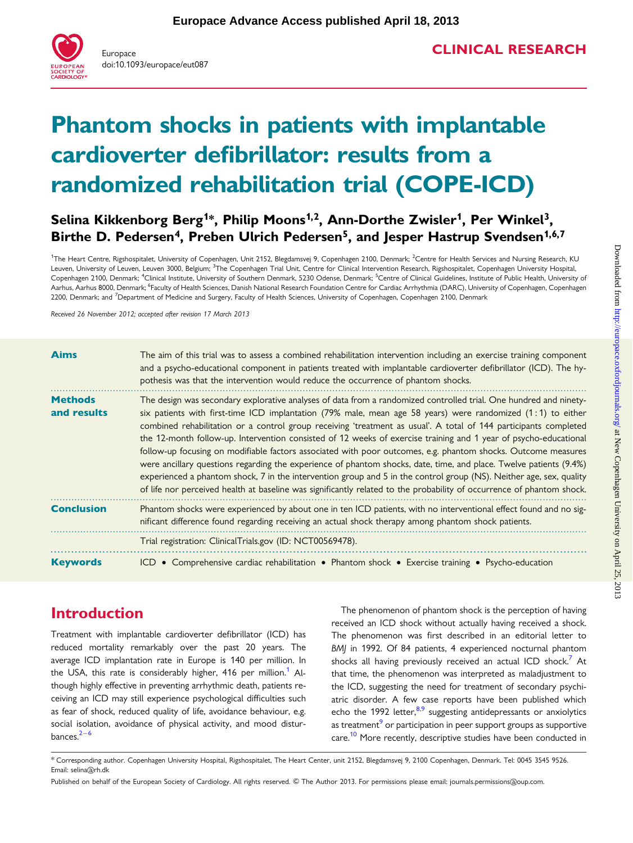

# Phantom shocks in patients with implantable cardioverter defibrillator: results from a randomized rehabilitation trial (COPE-ICD)

# Selina Kikkenborg Berg<sup>1\*</sup>, Philip Moons<sup>1,2</sup>, Ann-Dorthe Zwisler<sup>1</sup>, Per Winkel<sup>3</sup>, Birthe D. Pedersen<sup>4</sup>, Preben Ulrich Pedersen<sup>5</sup>, and Jesper Hastrup Svendsen<sup>1,6,7</sup>

<sup>1</sup>The Heart Centre, Rigshospitalet, University of Copenhagen, Unit 2152, Blegdamsvej 9, Copenhagen 2100, Denmark; <sup>2</sup>Centre for Health Services and Nursing Research, KU Leuven, University of Leuven, Leuven 3000, Belgium; <sup>3</sup>The Copenhagen Trial Unit, Centre for Clinical Intervention Research, Rigshospitalet, Copenhagen University Hospital, Copenhagen 2100, Denmark; <sup>4</sup>Clinical Institute, University of Southern Denmark, 5230 Odense, Denmark; <sup>5</sup>Centre of Clinical Guidelines, Institute of Public Health, University of Aarhus, Aarhus 8000, Denmark; <sup>6</sup>Faculty of Health Sciences, Danish National Research Foundation Centre for Cardiac Arrhythmia (DARC), University of Copenhagen, Copenhagen 2200, Denmark; and <sup>7</sup>Department of Medicine and Surgery, Faculty of Health Sciences, University of Copenhagen, Copenhagen 2100, Denmark

Received 26 November 2012; accepted after revision 17 March 2013

| <b>Aims</b>                   | The aim of this trial was to assess a combined rehabilitation intervention including an exercise training component<br>and a psycho-educational component in patients treated with implantable cardioverter defibrillator (ICD). The hy-<br>pothesis was that the intervention would reduce the occurrence of phantom shocks.                                                                                                                                                                                                                                                                                                                                                                                                                                                                                                                                                                                                                                   |
|-------------------------------|-----------------------------------------------------------------------------------------------------------------------------------------------------------------------------------------------------------------------------------------------------------------------------------------------------------------------------------------------------------------------------------------------------------------------------------------------------------------------------------------------------------------------------------------------------------------------------------------------------------------------------------------------------------------------------------------------------------------------------------------------------------------------------------------------------------------------------------------------------------------------------------------------------------------------------------------------------------------|
| <b>Methods</b><br>and results | The design was secondary explorative analyses of data from a randomized controlled trial. One hundred and ninety-<br>six patients with first-time ICD implantation (79% male, mean age 58 years) were randomized (1:1) to either<br>combined rehabilitation or a control group receiving 'treatment as usual'. A total of 144 participants completed<br>the 12-month follow-up. Intervention consisted of 12 weeks of exercise training and 1 year of psycho-educational<br>follow-up focusing on modifiable factors associated with poor outcomes, e.g. phantom shocks. Outcome measures<br>were ancillary questions regarding the experience of phantom shocks, date, time, and place. Twelve patients (9.4%)<br>experienced a phantom shock, 7 in the intervention group and 5 in the control group (NS). Neither age, sex, quality<br>of life nor perceived health at baseline was significantly related to the probability of occurrence of phantom shock. |
| <b>Conclusion</b>             | Phantom shocks were experienced by about one in ten ICD patients, with no interventional effect found and no sig-<br>nificant difference found regarding receiving an actual shock therapy among phantom shock patients.                                                                                                                                                                                                                                                                                                                                                                                                                                                                                                                                                                                                                                                                                                                                        |
|                               | Trial registration: ClinicalTrials.gov (ID: NCT00569478).                                                                                                                                                                                                                                                                                                                                                                                                                                                                                                                                                                                                                                                                                                                                                                                                                                                                                                       |
| <b>Keywords</b>               | ICD • Comprehensive cardiac rehabilitation • Phantom shock • Exercise training • Psycho-education                                                                                                                                                                                                                                                                                                                                                                                                                                                                                                                                                                                                                                                                                                                                                                                                                                                               |

# Introduction

Treatment with implantable cardioverter defibrillator (ICD) has reduced mortality remarkably over the past 20 years. The average ICD implantation rate in Europe is 140 per million. In the USA, this rate is considerably higher, 4[1](#page-4-0)6 per million.<sup>1</sup> Although highly effective in preventing arrhythmic death, patients receiving an ICD may still experience psychological difficulties such as fear of shock, reduced quality of life, avoidance behaviour, e.g. social isolation, avoidance of physical activity, and mood disturbances. $2 - 6$  $2 - 6$ 

The phenomenon of phantom shock is the perception of having received an ICD shock without actually having received a shock. The phenomenon was first described in an editorial letter to BMJ in 1992. Of 84 patients, 4 experienced nocturnal phantom shocks all having previously received an actual ICD shock.<sup>[7](#page-4-0)</sup> At that time, the phenomenon was interpreted as maladjustment to the ICD, suggesting the need for treatment of secondary psychiatric disorder. A few case reports have been published which echo the 1[9](#page-4-0)92 letter, $8.9$  $8.9$  suggesting antidepressants or anxiolytics as treatment $\frac{9}{9}$  $\frac{9}{9}$  $\frac{9}{9}$  or participation in peer support groups as supportive care.<sup>10</sup> More recently, descriptive studies have been conducted in

<sup>\*</sup> Corresponding author. Copenhagen University Hospital, Rigshospitalet, The Heart Center, unit 2152, Blegdamsvej 9, 2100 Copenhagen, Denmark. Tel: 0045 3545 9526. Email: selina@rh.dk

Published on behalf of the European Society of Cardiology. All rights reserved. © The Author 2013. For permissions please email: journals.permissions@oup.com.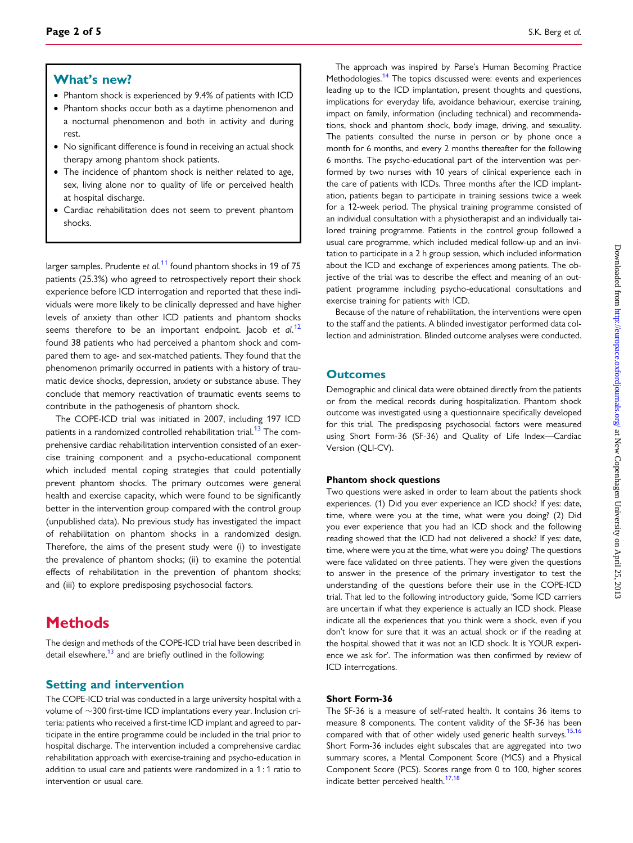## What's new?

- Phantom shock is experienced by 9.4% of patients with ICD
- Phantom shocks occur both as a daytime phenomenon and a nocturnal phenomenon and both in activity and during rest.
- No significant difference is found in receiving an actual shock therapy among phantom shock patients.
- The incidence of phantom shock is neither related to age, sex, living alone nor to quality of life or perceived health at hospital discharge.
- Cardiac rehabilitation does not seem to prevent phantom shocks.

larger samples. Prudente et al.<sup>[11](#page-4-0)</sup> found phantom shocks in 19 of 75 patients (25.3%) who agreed to retrospectively report their shock experience before ICD interrogation and reported that these individuals were more likely to be clinically depressed and have higher levels of anxiety than other ICD patients and phantom shocks seems therefore to be an important endpoint. Jacob et al.<sup>[12](#page-4-0)</sup> found 38 patients who had perceived a phantom shock and compared them to age- and sex-matched patients. They found that the phenomenon primarily occurred in patients with a history of traumatic device shocks, depression, anxiety or substance abuse. They conclude that memory reactivation of traumatic events seems to contribute in the pathogenesis of phantom shock.

The COPE-ICD trial was initiated in 2007, including 197 ICD patients in a randomized controlled rehabilitation trial.<sup>[13](#page-4-0)</sup> The comprehensive cardiac rehabilitation intervention consisted of an exercise training component and a psycho-educational component which included mental coping strategies that could potentially prevent phantom shocks. The primary outcomes were general health and exercise capacity, which were found to be significantly better in the intervention group compared with the control group (unpublished data). No previous study has investigated the impact of rehabilitation on phantom shocks in a randomized design. Therefore, the aims of the present study were (i) to investigate the prevalence of phantom shocks; (ii) to examine the potential effects of rehabilitation in the prevention of phantom shocks; and (iii) to explore predisposing psychosocial factors.

# **Methods**

The design and methods of the COPE-ICD trial have been described in detail elsewhere, $13$  and are briefly outlined in the following:

## Setting and intervention

The COPE-ICD trial was conducted in a large university hospital with a volume of  $\sim$ 300 first-time ICD implantations every year. Inclusion criteria: patients who received a first-time ICD implant and agreed to participate in the entire programme could be included in the trial prior to hospital discharge. The intervention included a comprehensive cardiac rehabilitation approach with exercise-training and psycho-education in addition to usual care and patients were randomized in a 1 : 1 ratio to intervention or usual care.

The approach was inspired by Parse's Human Becoming Practice Methodologies.<sup>[14](#page-4-0)</sup> The topics discussed were: events and experiences leading up to the ICD implantation, present thoughts and questions, implications for everyday life, avoidance behaviour, exercise training, impact on family, information (including technical) and recommendations, shock and phantom shock, body image, driving, and sexuality. The patients consulted the nurse in person or by phone once a month for 6 months, and every 2 months thereafter for the following 6 months. The psycho-educational part of the intervention was performed by two nurses with 10 years of clinical experience each in the care of patients with ICDs. Three months after the ICD implantation, patients began to participate in training sessions twice a week for a 12-week period. The physical training programme consisted of an individual consultation with a physiotherapist and an individually tailored training programme. Patients in the control group followed a usual care programme, which included medical follow-up and an invitation to participate in a 2 h group session, which included information about the ICD and exchange of experiences among patients. The objective of the trial was to describe the effect and meaning of an outpatient programme including psycho-educational consultations and exercise training for patients with ICD.

Because of the nature of rehabilitation, the interventions were open to the staff and the patients. A blinded investigator performed data collection and administration. Blinded outcome analyses were conducted.

## **Outcomes**

Demographic and clinical data were obtained directly from the patients or from the medical records during hospitalization. Phantom shock outcome was investigated using a questionnaire specifically developed for this trial. The predisposing psychosocial factors were measured using Short Form-36 (SF-36) and Quality of Life Index—Cardiac Version (QLI-CV).

#### Phantom shock questions

Two questions were asked in order to learn about the patients shock experiences. (1) Did you ever experience an ICD shock? If yes: date, time, where were you at the time, what were you doing? (2) Did you ever experience that you had an ICD shock and the following reading showed that the ICD had not delivered a shock? If yes: date, time, where were you at the time, what were you doing? The questions were face validated on three patients. They were given the questions to answer in the presence of the primary investigator to test the understanding of the questions before their use in the COPE-ICD trial. That led to the following introductory guide, 'Some ICD carriers are uncertain if what they experience is actually an ICD shock. Please indicate all the experiences that you think were a shock, even if you don't know for sure that it was an actual shock or if the reading at the hospital showed that it was not an ICD shock. It is YOUR experience we ask for'. The information was then confirmed by review of ICD interrogations.

#### Short Form-36

The SF-36 is a measure of self-rated health. It contains 36 items to measure 8 components. The content validity of the SF-36 has been compared with that of other widely used generic health surveys.<sup>15,16</sup> Short Form-36 includes eight subscales that are aggregated into two summary scores, a Mental Component Score (MCS) and a Physical Component Score (PCS). Scores range from 0 to 100, higher scores indicate better perceived health.<sup>[17,18](#page-4-0)</sup>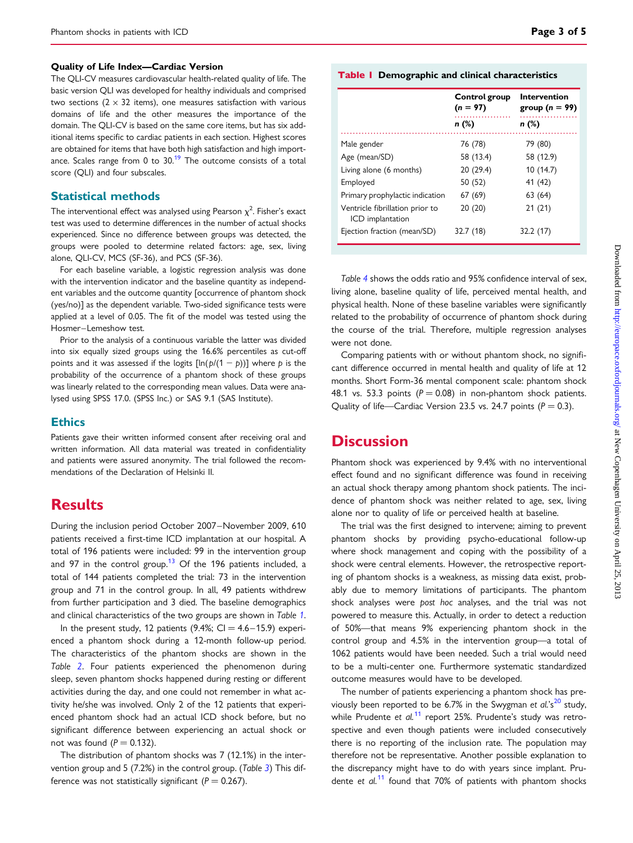#### Quality of Life Index—Cardiac Version

The QLI-CV measures cardiovascular health-related quality of life. The basic version QLI was developed for healthy individuals and comprised two sections ( $2 \times 32$  items), one measures satisfaction with various domains of life and the other measures the importance of the domain. The QLI-CV is based on the same core items, but has six additional items specific to cardiac patients in each section. Highest scores are obtained for items that have both high satisfaction and high importance. Scales range from  $0$  to  $30$ .<sup>[19](#page-4-0)</sup> The outcome consists of a total score (QLI) and four subscales.

#### Statistical methods

The interventional effect was analysed using Pearson  $\chi^2$ . Fisher's exact test was used to determine differences in the number of actual shocks experienced. Since no difference between groups was detected, the groups were pooled to determine related factors: age, sex, living alone, QLI-CV, MCS (SF-36), and PCS (SF-36).

For each baseline variable, a logistic regression analysis was done with the intervention indicator and the baseline quantity as independent variables and the outcome quantity [occurrence of phantom shock (yes/no)] as the dependent variable. Two-sided significance tests were applied at a level of 0.05. The fit of the model was tested using the Hosmer–Lemeshow test.

Prior to the analysis of a continuous variable the latter was divided into six equally sized groups using the 16.6% percentiles as cut-off points and it was assessed if the logits  $[\ln(p/(1-p))]$  where p is the probability of the occurrence of a phantom shock of these groups was linearly related to the corresponding mean values. Data were analysed using SPSS 17.0. (SPSS Inc.) or SAS 9.1 (SAS Institute).

#### **Ethics**

Patients gave their written informed consent after receiving oral and written information. All data material was treated in confidentiality and patients were assured anonymity. The trial followed the recommendations of the Declaration of Helsinki II.

## **Results**

During the inclusion period October 2007–November 2009, 610 patients received a first-time ICD implantation at our hospital. A total of 196 patients were included: 99 in the intervention group and 97 in the control group.<sup>[13](#page-4-0)</sup> Of the 196 patients included, a total of 144 patients completed the trial: 73 in the intervention group and 71 in the control group. In all, 49 patients withdrew from further participation and 3 died. The baseline demographics and clinical characteristics of the two groups are shown in Table 1.

In the present study, 12 patients (9.4%;  $CI = 4.6 - 15.9$ ) experienced a phantom shock during a 12-month follow-up period. The characteristics of the phantom shocks are shown in the Table [2](#page-3-0). Four patients experienced the phenomenon during sleep, seven phantom shocks happened during resting or different activities during the day, and one could not remember in what activity he/she was involved. Only 2 of the 12 patients that experienced phantom shock had an actual ICD shock before, but no significant difference between experiencing an actual shock or not was found  $(P = 0.132)$ .

The distribution of phantom shocks was 7 (12.1%) in the inter-vention group and 5 (7.2%) in the control group. (Table [3](#page-3-0)) This difference was not statistically significant ( $P = 0.267$ ).

#### Table | Demographic and clinical characteristics

|                                                     | Control group<br>$(n = 97)$ | <b>Intervention</b><br>group ( $n = 99$ ) |
|-----------------------------------------------------|-----------------------------|-------------------------------------------|
|                                                     | . <b>.</b><br>n (%)         | .<br>n (%)                                |
| Male gender                                         | 76 (78)                     | 79 (80)                                   |
| Age (mean/SD)                                       | 58 (13.4)                   | 58 (12.9)                                 |
| Living alone (6 months)                             | 20(29.4)                    | 10(14.7)                                  |
| Employed                                            | 50 (52)                     | 41 (42)                                   |
| Primary prophylactic indication                     | 67 (69)                     | 63 (64)                                   |
| Ventricle fibrillation prior to<br>ICD implantation | 20(20)                      | 21(21)                                    |
| Ejection fraction (mean/SD)                         | 32.7 (18)                   | 32.2(17)                                  |

Table [4](#page-3-0) shows the odds ratio and 95% confidence interval of sex. living alone, baseline quality of life, perceived mental health, and physical health. None of these baseline variables were significantly related to the probability of occurrence of phantom shock during the course of the trial. Therefore, multiple regression analyses were not done.

Comparing patients with or without phantom shock, no significant difference occurred in mental health and quality of life at 12 months. Short Form-36 mental component scale: phantom shock 48.1 vs. 53.3 points ( $P = 0.08$ ) in non-phantom shock patients. Quality of life—Cardiac Version 23.5 vs. 24.7 points ( $P = 0.3$ ).

## **Discussion**

Phantom shock was experienced by 9.4% with no interventional effect found and no significant difference was found in receiving an actual shock therapy among phantom shock patients. The incidence of phantom shock was neither related to age, sex, living alone nor to quality of life or perceived health at baseline.

The trial was the first designed to intervene; aiming to prevent phantom shocks by providing psycho-educational follow-up where shock management and coping with the possibility of a shock were central elements. However, the retrospective reporting of phantom shocks is a weakness, as missing data exist, probably due to memory limitations of participants. The phantom shock analyses were post hoc analyses, and the trial was not powered to measure this. Actually, in order to detect a reduction of 50%—that means 9% experiencing phantom shock in the control group and 4.5% in the intervention group—a total of 1062 patients would have been needed. Such a trial would need to be a multi-center one. Furthermore systematic standardized outcome measures would have to be developed.

The number of patients experiencing a phantom shock has previously been reported to be 6.7% in the Swygman et  $al.'s<sup>20</sup>$  $al.'s<sup>20</sup>$  $al.'s<sup>20</sup>$  study, while Prudente et  $al$ .<sup>[11](#page-4-0)</sup> report 25%. Prudente's study was retrospective and even though patients were included consecutively there is no reporting of the inclusion rate. The population may therefore not be representative. Another possible explanation to the discrepancy might have to do with years since implant. Prudente et  $al$ <sup>[11](#page-4-0)</sup> found that 70% of patients with phantom shocks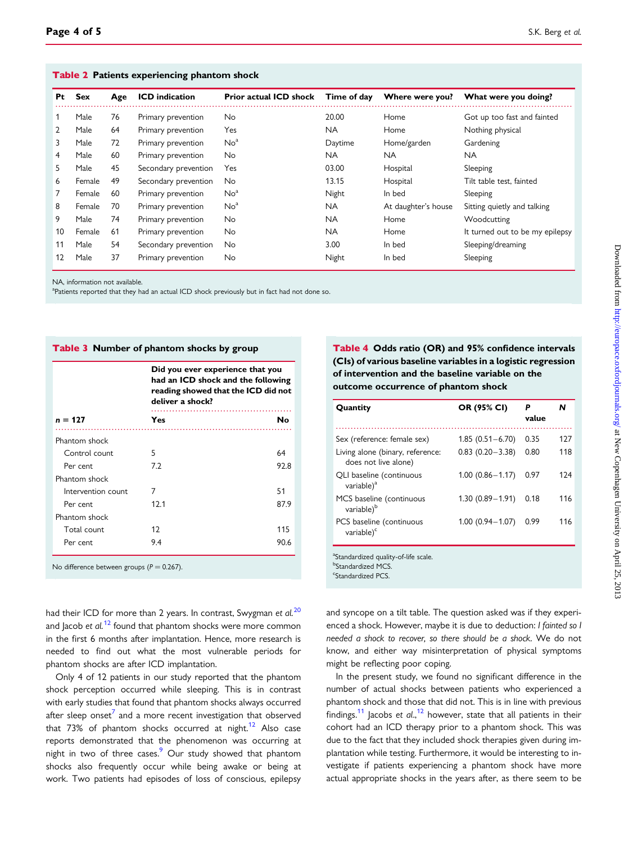| Pt | <b>Sex</b> | Age | <b>ICD</b> indication | Prior actual ICD shock Time of day |           | Where were you?     | What were you doing?            |
|----|------------|-----|-----------------------|------------------------------------|-----------|---------------------|---------------------------------|
|    | Male       | 76  | Primary prevention    | No                                 | 20.00     | Home                | Got up too fast and fainted     |
|    | Male       | 64  | Primary prevention    | Yes                                | <b>NA</b> | Home                | Nothing physical                |
| 3  | Male       | 72  | Primary prevention    | No <sup>a</sup>                    | Daytime   | Home/garden         | Gardening                       |
| 4  | Male       | 60  | Primary prevention    | No                                 | <b>NA</b> | NA.                 | <b>NA</b>                       |
| 5. | Male       | 45  | Secondary prevention  | Yes                                | 03.00     | Hospital            | Sleeping                        |
| 6  | Female     | 49  | Secondary prevention  | No.                                | 13.15     | Hospital            | Tilt table test, fainted        |
|    | Female     | 60  | Primary prevention    | No <sup>a</sup>                    | Night     | In bed              | Sleeping                        |
| 8  | Female     | 70  | Primary prevention    | No <sup>a</sup>                    | <b>NA</b> | At daughter's house | Sitting quietly and talking     |
| 9  | Male       | 74  | Primary prevention    | No                                 | <b>NA</b> | Home                | Woodcutting                     |
| 10 | Female     | 61  | Primary prevention    | No                                 | <b>NA</b> | Home                | It turned out to be my epilepsy |
| 11 | Male       | 54  | Secondary prevention  | No                                 | 3.00      | In bed              | Sleeping/dreaming               |
| 12 | Male       | 37  | Primary prevention    | No                                 | Night     | In bed              | Sleeping                        |

NA, information not available.

<sup>a</sup>Patients reported that they had an actual ICD shock previously but in fact had not done so.

#### Table 3 Number of phantom shocks by group

<span id="page-3-0"></span>Table 2 Patients experiencing phantom shock

|                    | Did you ever experience that you<br>had an ICD shock and the following<br>reading showed that the ICD did not<br>deliver a shock?<br>. |         |  |  |
|--------------------|----------------------------------------------------------------------------------------------------------------------------------------|---------|--|--|
| $n = 127$          | Yes                                                                                                                                    | Nο<br>. |  |  |
| Phantom shock      |                                                                                                                                        |         |  |  |
| Control count      | 5                                                                                                                                      | 64      |  |  |
| Per cent           | 7.2                                                                                                                                    | 92.8    |  |  |
| Phantom shock      |                                                                                                                                        |         |  |  |
| Intervention count | 7                                                                                                                                      | 51      |  |  |
| Per cent           | 12.1                                                                                                                                   | 87.9    |  |  |
| Phantom shock      |                                                                                                                                        |         |  |  |
| Total count        | 12                                                                                                                                     | 115     |  |  |
| Per cent           | 9.4                                                                                                                                    | 90.6    |  |  |

No difference between groups ( $P = 0.267$ ).

had their ICD for more than 2 years. In contrast, Swygman et  $al$ .<sup>[20](#page-4-0)</sup> and Jacob et  $al$ .<sup>[12](#page-4-0)</sup> found that phantom shocks were more common in the first 6 months after implantation. Hence, more research is needed to find out what the most vulnerable periods for phantom shocks are after ICD implantation.

Only 4 of 12 patients in our study reported that the phantom shock perception occurred while sleeping. This is in contrast with early studies that found that phantom shocks always occurred after sleep onset $^7$  $^7$  and a more recent investigation that observed that  $73\%$  of phantom shocks occurred at night.<sup>[12](#page-4-0)</sup> Also case reports demonstrated that the phenomenon was occurring at night in two of three cases.<sup>[9](#page-4-0)</sup> Our study showed that phantom shocks also frequently occur while being awake or being at work. Two patients had episodes of loss of conscious, epilepsy

Table 4 Odds ratio (OR) and 95% confidence intervals (CIs) of various baseline variables in a logistic regression of intervention and the baseline variable on the outcome occurrence of phantom shock

| Quantity                                                                                | OR (95% CI)                                | P<br>value   | N          |
|-----------------------------------------------------------------------------------------|--------------------------------------------|--------------|------------|
| Sex (reference: female sex)<br>Living alone (binary, reference:<br>does not live alone) | $1.85(0.51 - 6.70)$<br>$0.83(0.20 - 3.38)$ | 0.35<br>0.80 | 127<br>118 |
| <b>QLI</b> baseline (continuous<br>variable) <sup>a</sup>                               | $1.00(0.86 - 1.17)$                        | 0.97         | 174        |
| MCS baseline (continuous<br>variable) <sup>b</sup>                                      | $1.30(0.89 - 1.91)$                        | 0.18         | 116        |
| PCS baseline (continuous<br>variable) <sup>c</sup>                                      | $1.00(0.94 - 1.07)$                        | 0.99         | 116        |

aStandardized quality-of-life scale.

**b**Standardized MCS.

c Standardized PCS.

and syncope on a tilt table. The question asked was if they experienced a shock. However, maybe it is due to deduction: I fainted so I needed a shock to recover, so there should be a shock. We do not know, and either way misinterpretation of physical symptoms might be reflecting poor coping.

In the present study, we found no significant difference in the number of actual shocks between patients who experienced a phantom shock and those that did not. This is in line with previous findings.<sup>[11](#page-4-0)</sup> Jacobs et al.,<sup>[12](#page-4-0)</sup> however, state that all patients in their cohort had an ICD therapy prior to a phantom shock. This was due to the fact that they included shock therapies given during implantation while testing. Furthermore, it would be interesting to investigate if patients experiencing a phantom shock have more actual appropriate shocks in the years after, as there seem to be